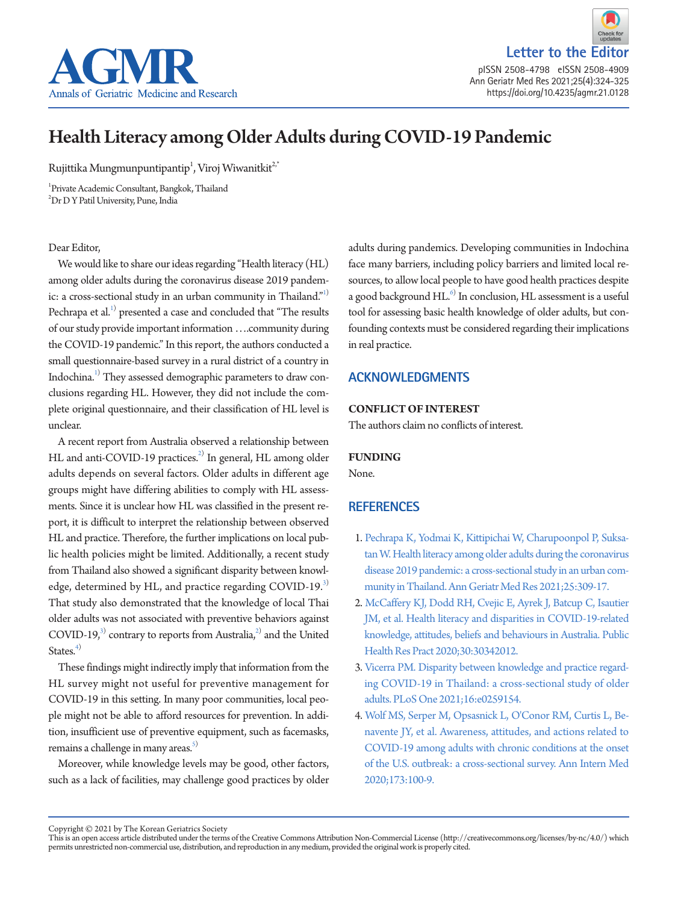

**Letter to the Edito** pISSN 2508-4798 eISSN 2508-4909 Ann Geriatr Med Res 2021;25(4):324-325 https://doi.org/10.4235/agmr.21.0128

# Health Literacy among Older Adults during COVID-19 Pandemic

Rujittika Mungmunpuntipantip $^1$ , Viroj Wiwanitkit $^{2,*}$ 

1 Private Academic Consultant, Bangkok, Thailand 2 Dr D Y Patil University, Pune, India

#### Dear Editor,

We would like to share our ideas regarding "Health literacy (HL) among older adults during the coronavirus disease 2019 pandemic: a cross-sectional study in an urban community in Thailand."<sup>1)</sup> Pechrapa et al. $^{1)}$  presented a case and concluded that "The results of our study provide important information ….community during the COVID-19 pandemic." In this report, the authors conducted a small questionnaire-based survey in a rural district of a country in Indochina.<sup>1)</sup> They assessed demographic parameters to draw conclusions regarding HL. However, they did not include the complete original questionnaire, and their classification of HL level is unclear.

A recent report from Australia observed a relationship between HL and anti-COVID-19 practices.<sup>2)</sup> In general, HL among older adults depends on several factors. Older adults in different age groups might have differing abilities to comply with HL assessments. Since it is unclear how HL was classified in the present report, it is difficult to interpret the relationship between observed HL and practice. Therefore, the further implications on local public health policies might be limited. Additionally, a recent study from Thailand also showed a significant disparity between knowledge, determined by HL, and practice regarding COVID-19. $3$ That study also demonstrated that the knowledge of local Thai older adults was not associated with preventive behaviors against COVID-19, $3$  contrary to reports from Australia, $2$  and the United States. $4)$ 

These findings might indirectly imply that information from the HL survey might not useful for preventive management for COVID-19 in this setting. In many poor communities, local people might not be able to afford resources for prevention. In addition, insufficient use of preventive equipment, such as facemasks, remains a challenge in many areas. $5$ )

Moreover, while knowledge levels may be good, other factors, such as a lack of facilities, may challenge good practices by older adults during pandemics. Developing communities in Indochina face many barriers, including policy barriers and limited local resources, to allow local people to have good health practices despite a good background HL.<sup>6)</sup> In conclusion, HL assessment is a useful tool for assessing basic health knowledge of older adults, but confounding contexts must be considered regarding their implications in real practice.

# **ACKNOWLEDGMENTS**

### **CONFLICT OF INTEREST**

The authors claim no conflicts of interest.

#### <span id="page-0-0"></span>**FUNDING**

None.

## <span id="page-0-2"></span>**REFERENCES**

- <span id="page-0-1"></span>1. Pech[rapa K, Yodmai K, Kittipichai W, Charupoonpol P, Suksa](https://doi.org/10.4235/agmr.21.0090)[tan W. Health literacy among older adults during the coronavirus](https://doi.org/10.4235/agmr.21.0090)  [disease 2019 pandemic: a cross-sectional study in an urban com](https://doi.org/10.4235/agmr.21.0090)[munity in Thailand. Ann Geriatr Med Res](https://doi.org/10.4235/agmr.21.0090) 2021;25:309-17.
- 2. [McCaffery KJ, Dodd RH, Cvejic E, Ayrek J, Batcup C, Isautier](https://doi.org/10.17061/phrp30342012)  [JM, et al. Health literacy and disparities in COVID-19-related](https://doi.org/10.17061/phrp30342012)  [knowledge, attitudes, beliefs and behaviours in Australia. Public](https://doi.org/10.17061/phrp30342012)  [Health Res Pract 2020;30:30342012.](https://doi.org/10.17061/phrp30342012)
- 3. [Vicerra PM. Disparity between knowledge and practice regard](https://doi.org/10.1371/journal.pone.0259154)[ing COVID-19 in Thailand: a cross-sectional study of older](https://doi.org/10.1371/journal.pone.0259154)  [adults. PLoS One 2021;16:e0259154.](https://doi.org/10.1371/journal.pone.0259154)
- <span id="page-0-3"></span>4[. Wolf MS, Serper M, Opsasnick L, O'Conor RM, Curtis L, Be](https://doi.org/10.7326/m20-1239)[navente JY, et al. Awareness, attitudes, and actions related to](https://doi.org/10.7326/m20-1239)  [COVID-19 among adults with chronic conditions at the onset](https://doi.org/10.7326/m20-1239)  [of the U.S. outbreak: a cross-sectional survey. Ann Intern](https://doi.org/10.7326/m20-1239) Med 2020;173:100-9.

Copyright © 2021 by The Korean Geriatrics Society<br>This is an open access article distributed under the terms of the Creative Commons Attribution Non-Commercial License (http://creativecommons.org/licenses/by-nc/4.0/) which permits unrestricted non-commercial use, distribution, and reproduction in any medium, provided the original work is properly cited.